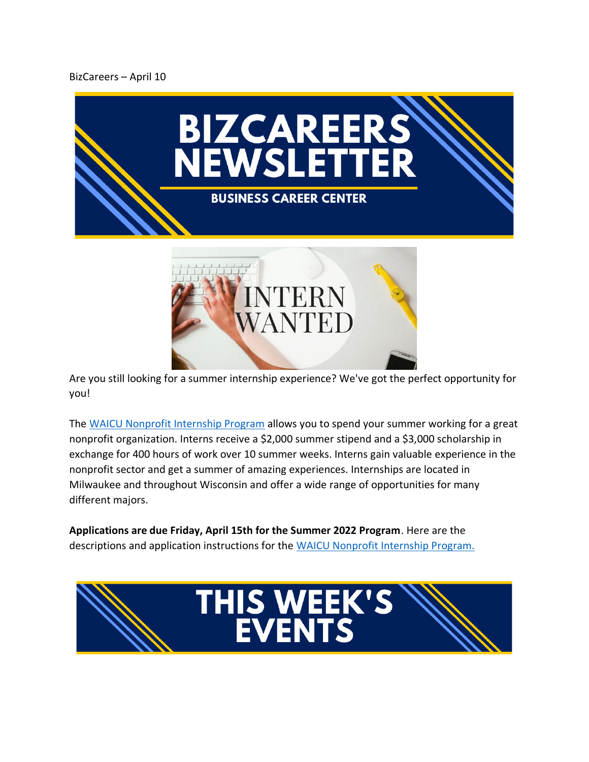## BizCareers – April 10





Are you still looking for a summer internship experience? We've got the perfect opportunity for you!

The [WAICU Nonprofit Internship Program](https://www.waicu.org/sites/default/files/public/downloads/2022_waicu_nonprofit_internship_program_april_4_0.pdf) allows you to spend your summer working for a great nonprofit organization. Interns receive a \$2,000 summer stipend and a \$3,000 scholarship in exchange for 400 hours of work over 10 summer weeks. Interns gain valuable experience in the nonprofit sector and get a summer of amazing experiences. Internships are located in Milwaukee and throughout Wisconsin and offer a wide range of opportunities for many different majors.

**Applications are due Friday, April 15th for the Summer 2022 Program**. Here are the descriptions and application instructions for the [WAICU Nonprofit Internship Program.](https://www.waicu.org/sites/default/files/public/downloads/2022_waicu_nonprofit_internship_program_april_4_0.pdf)

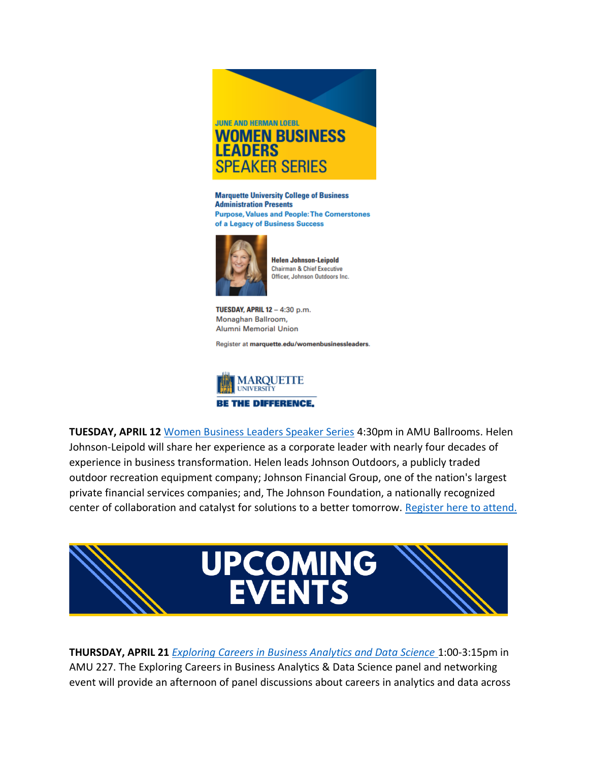

**Marquette University College of Business Administration Presents Purpose, Values and People: The Cornerstones** of a Legacy of Business Success



**Helen Johnson-Leipold Chairman & Chief Executive** Officer, Johnson Outdoors Inc.

TUESDAY, APRIL 12 - 4:30 p.m. Monaghan Ballroom, **Alumni Memorial Union** 

Register at marquette.edu/womenbusinessleaders.



**TUESDAY, APRIL 12** [Women Business Leaders Speaker Series](https://www.marquette.edu/business/women-business-leaders/) 4:30pm in AMU Ballrooms. Helen Johnson-Leipold will share her experience as a corporate leader with nearly four decades of experience in business transformation. Helen leads Johnson Outdoors, a publicly traded outdoor recreation equipment company; Johnson Financial Group, one of the nation's largest private financial services companies; and, The Johnson Foundation, a nationally recognized center of collaboration and catalyst for solutions to a better tomorrow. [Register here to attend.](https://alumni.marquette.edu/loebl-2022?srctid=1&erid=0441b07f-a991-452e-bde6-e14ca1a6eb5e&trid=0441b07f-a991-452e-bde6-e14ca1a6eb5e)



**THURSDAY, APRIL 21** *[Exploring Careers in Business Analytics and Data Science](https://marquette.joinhandshake.com/events/1017220/share_preview)* 1:00-3:15pm in AMU 227. The Exploring Careers in Business Analytics & Data Science panel and networking event will provide an afternoon of panel discussions about careers in analytics and data across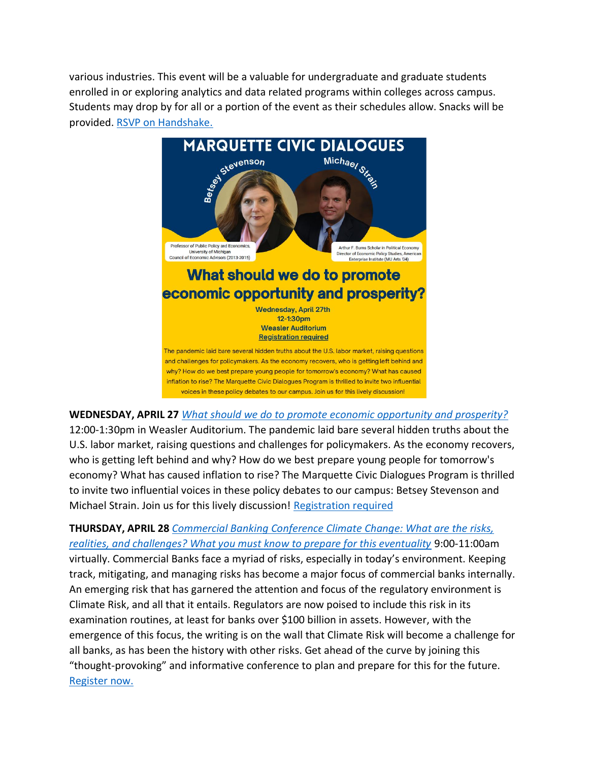various industries. This event will be a valuable for undergraduate and graduate students enrolled in or exploring analytics and data related programs within colleges across campus. Students may drop by for all or a portion of the event as their schedules allow. Snacks will be provided. [RSVP on Handshake.](https://marquette.joinhandshake.com/events/1017220/share_preview)



**WEDNESDAY, APRIL 27** *[What should we do to promote economic opportunity and prosperity?](https://www.eventbrite.com/e/what-should-we-do-to-promote-economic-opportunity-and-prosperity-tickets-314481652087)*  12:00-1:30pm in Weasler Auditorium. The pandemic laid bare several hidden truths about the U.S. labor market, raising questions and challenges for policymakers. As the economy recovers, who is getting left behind and why? How do we best prepare young people for tomorrow's economy? What has caused inflation to rise? The Marquette Civic Dialogues Program is thrilled to invite two influential voices in these policy debates to our campus: Betsey Stevenson and Michael Strain. Join us for this lively discussion! [Registration required](https://nam02.safelinks.protection.outlook.com/?url=https%3A%2F%2Fwww.eventbrite.com%2Fe%2F314481652087&data=04%7C01%7Ckatie.dougherty%40marquette.edu%7C1ae5a4f031cf428038b608da18b4de44%7Cabe32f68c72d420db5bd750c63a268e4%7C0%7C0%7C637849462774627239%7CUnknown%7CTWFpbGZsb3d8eyJWIjoiMC4wLjAwMDAiLCJQIjoiV2luMzIiLCJBTiI6Ik1haWwiLCJXVCI6Mn0%3D%7C3000&sdata=EKaa71uTozALsXhGv6qEGzrE6a3tLT4i4tzu%2FUwE0o4%3D&reserved=0)

**THURSDAY, APRIL 28** *[Commercial Banking Conference Climate Change: What are the risks,](https://www.marquette.edu/business/banking/climate-change-conference.php)  [realities, and challenges? What you must know to prepare for this eventuality](https://www.marquette.edu/business/banking/climate-change-conference.php)* 9:00-11:00am virtually. Commercial Banks face a myriad of risks, especially in today's environment. Keeping track, mitigating, and managing risks has become a major focus of commercial banks internally. An emerging risk that has garnered the attention and focus of the regulatory environment is Climate Risk, and all that it entails. Regulators are now poised to include this risk in its examination routines, at least for banks over \$100 billion in assets. However, with the emergence of this focus, the writing is on the wall that Climate Risk will become a challenge for all banks, as has been the history with other risks. Get ahead of the curve by joining this "thought-provoking" and informative conference to plan and prepare for this for the future. [Register now.](https://www.eventbrite.com/e/marquette-university-commercial-banking-conference-climate-change-tickets-295325224697)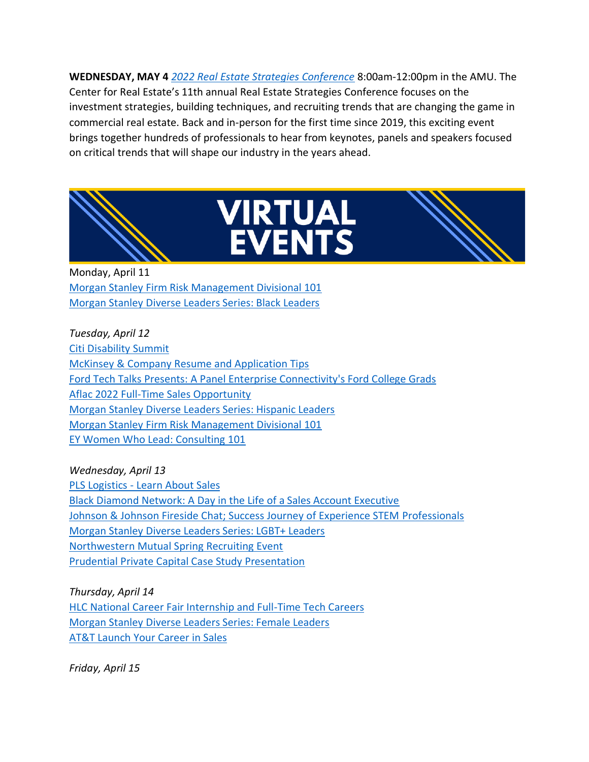**WEDNESDAY, MAY 4** *[2022 Real Estate Strategies Conference](https://www.marquette.edu/business/re-conf/)* 8:00am-12:00pm in the AMU. The Center for Real Estate's 11th annual Real Estate Strategies Conference focuses on the investment strategies, building techniques, and recruiting trends that are changing the game in commercial real estate. Back and in-person for the first time since 2019, this exciting event brings together hundreds of professionals to hear from keynotes, panels and speakers focused on critical trends that will shape our industry in the years ahead.



## **VIRTUAL<br>EVENTS**



Monday, April 11 [Morgan Stanley Firm Risk Management Divisional 101](https://marquette.joinhandshake.com/events/1024687/share_preview) [Morgan Stanley Diverse Leaders Series: Black Leaders](https://marquette.joinhandshake.com/events/1019525/share_preview)

*Tuesday, April 12* [Citi Disability Summit](https://marquette.joinhandshake.com/events/1003998/share_preview) [McKinsey & Company Resume and Application Tips](https://marquette.joinhandshake.com/events/999116/share_preview) [Ford Tech Talks Presents: A Panel Enterprise Connectivity's Ford College Grads](https://marquette.joinhandshake.com/events/1005348/share_preview) [Aflac 2022 Full-Time Sales Opportunity](https://marquette.joinhandshake.com/events/1023359/share_preview) [Morgan Stanley Diverse Leaders Series: Hispanic Leaders](https://marquette.joinhandshake.com/events/1019531/share_preview) [Morgan Stanley Firm Risk Management Divisional 101](https://marquette.joinhandshake.com/events/1024690/share_preview) [EY Women Who Lead: Consulting 101](https://marquette.joinhandshake.com/events/1009102/share_preview)

## *Wednesday, April 13*

PLS Logistics - [Learn About Sales](https://marquette.joinhandshake.com/events/1010065/share_preview) [Black Diamond Network: A Day in the Life of a Sales Account Executive](https://marquette.joinhandshake.com/events/1013753/share_preview) [Johnson & Johnson Fireside Chat; Success Journey of Experience STEM Professionals](https://marquette.joinhandshake.com/events/1024448/share_preview) [Morgan Stanley Diverse Leaders Series: LGBT+ Leaders](https://marquette.joinhandshake.com/events/1019540/share_preview) [Northwestern Mutual Spring Recruiting Event](https://marquette.joinhandshake.com/events/1003644/share_preview) [Prudential Private Capital Case Study Presentation](https://marquette.joinhandshake.com/events/1012423/share_preview)

*Thursday, April 14* [HLC National Career Fair Internship and Full-Time Tech Careers](https://marquette.joinhandshake.com/events/1015024/share_preview) [Morgan Stanley Diverse Leaders Series: Female Leaders](https://marquette.joinhandshake.com/events/1019536/share_preview) [AT&T Launch Your Career in Sales](https://marquette.joinhandshake.com/events/1022478/share_preview)

*Friday, April 15*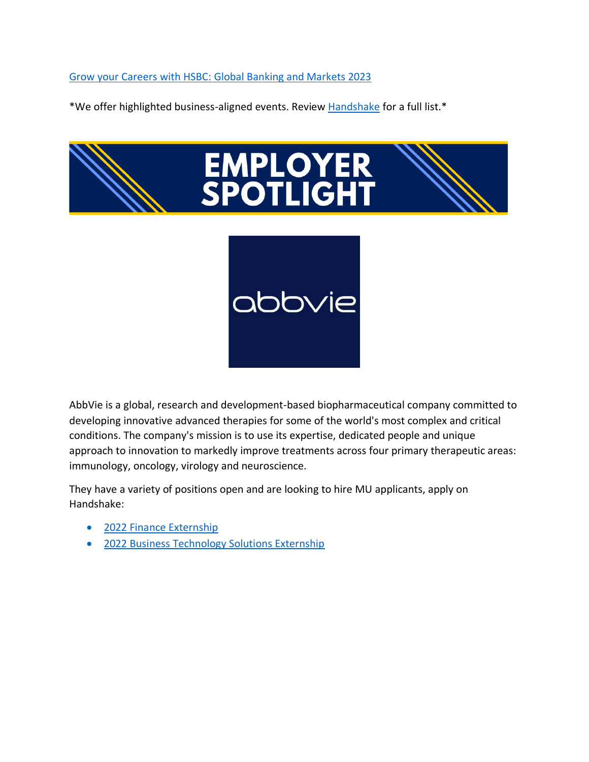[Grow your Careers with HSBC: Global Banking and Markets 2023](https://marquette.joinhandshake.com/events/1017638/share_preview)

\*We offer highlighted business-aligned events. Review [Handshake](https://marquette.joinhandshake.com/edu/events) for a full list.\*



AbbVie is a global, research and development-based biopharmaceutical company committed to developing innovative advanced therapies for some of the world's most complex and critical conditions. The company's mission is to use its expertise, dedicated people and unique approach to innovation to markedly improve treatments across four primary therapeutic areas: immunology, oncology, virology and neuroscience.

They have a variety of positions open and are looking to hire MU applicants, apply on Handshake:

- [2022 Finance Externship](https://marquette.joinhandshake.com/jobs/6036806/share_preview)
- [2022 Business Technology Solutions Externship](https://marquette.joinhandshake.com/jobs/6036844/share_preview)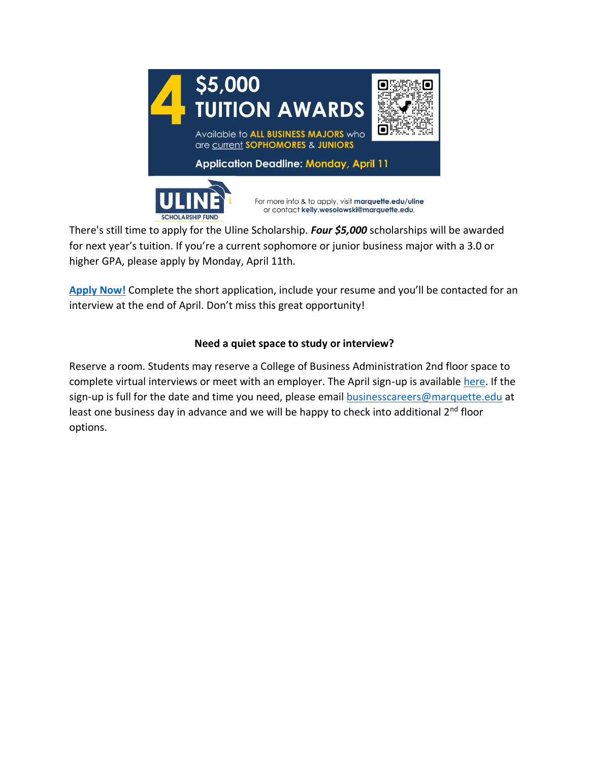

There's still time to apply for the Uline Scholarship. *Four \$5,000* scholarships will be awarded for next year's tuition. If you're a current sophomore or junior business major with a 3.0 or higher GPA, please apply by Monday, April 11th.

**[Apply Now!](https://www.marquette.edu/business/undergraduate/uline-scholarship.php)** Complete the short application, include your resume and you'll be contacted for an interview at the end of April. Don't miss this great opportunity!

## **Need a quiet space to study or interview?**

Reserve a room. Students may reserve a College of Business Administration 2nd floor space to complete virtual interviews or meet with an employer. The April sign-up is available [here.](https://www.signupgenius.com/go/10C044FADA92BA5F85-april) If the sign-up is full for the date and time you need, please email [businesscareers@marquette.edu](https://marquette.joinhandshake.com/edu/mass_emails/1029980/businesscareers@marquette.edu) at least one business day in advance and we will be happy to check into additional 2<sup>nd</sup> floor options.